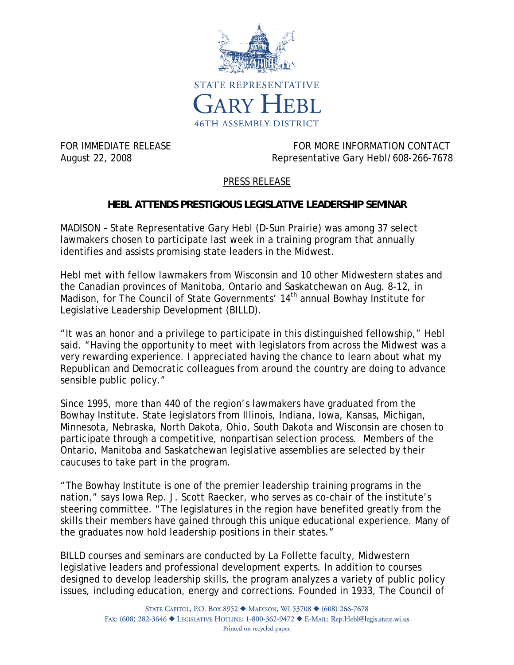

FOR IMMEDIATE RELEASE FOR MORE INFORMATION CONTACT August 22, 2008 Representative Gary Hebl/608-266-7678

## PRESS RELEASE

## **HEBL ATTENDS PRESTIGIOUS LEGISLATIVE LEADERSHIP SEMINAR**

MADISON – State Representative Gary Hebl (D-Sun Prairie) was among 37 select lawmakers chosen to participate last week in a training program that annually identifies and assists promising state leaders in the Midwest.

Hebl met with fellow lawmakers from Wisconsin and 10 other Midwestern states and the Canadian provinces of Manitoba, Ontario and Saskatchewan on Aug. 8-12, in Madison, for The Council of State Governments' 14<sup>th</sup> annual Bowhay Institute for Legislative Leadership Development (BILLD).

"It was an honor and a privilege to participate in this distinguished fellowship," Hebl said. "Having the opportunity to meet with legislators from across the Midwest was a very rewarding experience. I appreciated having the chance to learn about what my Republican and Democratic colleagues from around the country are doing to advance sensible public policy."

Since 1995, more than 440 of the region's lawmakers have graduated from the Bowhay Institute. State legislators from Illinois, Indiana, Iowa, Kansas, Michigan, Minnesota, Nebraska, North Dakota, Ohio, South Dakota and Wisconsin are chosen to participate through a competitive, nonpartisan selection process. Members of the Ontario, Manitoba and Saskatchewan legislative assemblies are selected by their caucuses to take part in the program.

"The Bowhay Institute is one of the premier leadership training programs in the nation," says Iowa Rep. J. Scott Raecker, who serves as co-chair of the institute's steering committee. "The legislatures in the region have benefited greatly from the skills their members have gained through this unique educational experience. Many of the graduates now hold leadership positions in their states."

BILLD courses and seminars are conducted by La Follette faculty, Midwestern legislative leaders and professional development experts. In addition to courses designed to develop leadership skills, the program analyzes a variety of public policy issues, including education, energy and corrections. Founded in 1933, The Council of